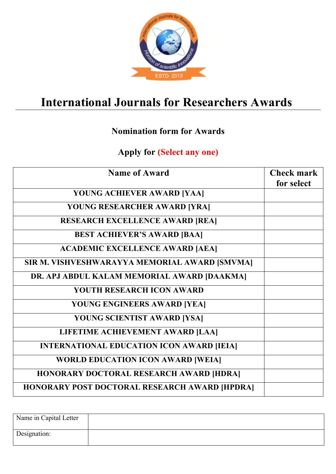

# **International Journals for Researchers Awards**

## **Nomination form for Awards**

## **Apply for (Select any one)**

| <b>Name of Award</b>                             | <b>Check mark</b><br>for select |
|--------------------------------------------------|---------------------------------|
| YOUNG ACHIEVER AWARD [YAA]                       |                                 |
| YOUNG RESEARCHER AWARD [YRA]                     |                                 |
| <b>RESEARCH EXCELLENCE AWARD [REA]</b>           |                                 |
| <b>BEST ACHIEVER'S AWARD [BAA]</b>               |                                 |
| <b>ACADEMIC EXCELLENCE AWARD [AEA]</b>           |                                 |
| SIR M. VISHVESHWARAYYA MEMORIAL AWARD [SMVMA]    |                                 |
| DR. APJ ABDUL KALAM MEMORIAL AWARD [DAAKMA]      |                                 |
| <b>YOUTH RESEARCH ICON AWARD</b>                 |                                 |
| YOUNG ENGINEERS AWARD [YEA]                      |                                 |
| YOUNG SCIENTIST AWARD [YSA]                      |                                 |
| LIFETIME ACHIEVEMENT AWARD [LAA]                 |                                 |
| <b>INTERNATIONAL EDUCATION ICON AWARD [IEIA]</b> |                                 |
| <b>WORLD EDUCATION ICON AWARD [WEIA]</b>         |                                 |
| <b>HONORARY DOCTORAL RESEARCH AWARD [HDRA]</b>   |                                 |
| HONORARY POST DOCTORAL RESEARCH AWARD [HPDRA]    |                                 |

| Name in Capital Letter |  |
|------------------------|--|
| Designation:           |  |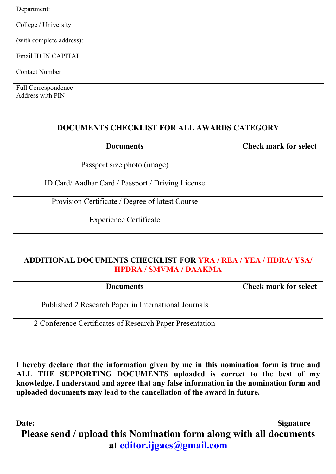| Department:                             |  |
|-----------------------------------------|--|
| College / University                    |  |
| (with complete address):                |  |
| Email ID IN CAPITAL                     |  |
| <b>Contact Number</b>                   |  |
| Full Correspondence<br>Address with PIN |  |

#### **DOCUMENTS CHECKLIST FOR ALL AWARDS CATEGORY**

| <b>Documents</b>                                  | <b>Check mark for select</b> |
|---------------------------------------------------|------------------------------|
| Passport size photo (image)                       |                              |
| ID Card/ Aadhar Card / Passport / Driving License |                              |
| Provision Certificate / Degree of latest Course   |                              |
| <b>Experience Certificate</b>                     |                              |

#### **ADDITIONAL DOCUMENTS CHECKLIST FOR YRA / REA / YEA / HDRA/ YSA/ HPDRA / SMVMA / DAAKMA**

| <b>Documents</b>                                         | <b>Check mark for select</b> |
|----------------------------------------------------------|------------------------------|
| Published 2 Research Paper in International Journals     |                              |
| 2 Conference Certificates of Research Paper Presentation |                              |

**I hereby declare that the information given by me in this nomination form is true and ALL THE SUPPORTING DOCUMENTS uploaded is correct to the best of my knowledge. I understand and agree that any false information in the nomination form and uploaded documents may lead to the cancellation of the award in future.** 

**Date: Signature Please send / upload this Nomination form along with all documents at editor.ijgaes@gmail.com**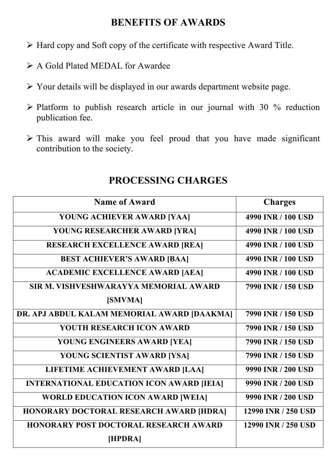## **BENEFITS OF AWARDS**

- $\triangleright$  Hard copy and Soft copy of the certificate with respective Award Title.
- $\triangleright$  A Gold Plated MEDAL for Awardee
- $\triangleright$  Your details will be displayed in our awards department website page.
- $\triangleright$  Platform to publish research article in our journal with 30 % reduction publication fee.
- $\triangleright$  This award will make you feel proud that you have made significant contribution to the society.

## **PROCESSING CHARGES**

| Name of Award                                    | <b>Charges</b>      |
|--------------------------------------------------|---------------------|
| YOUNG ACHIEVER AWARD [YAA]                       | 4990 INR / 100 USD  |
| YOUNG RESEARCHER AWARD [YRA]                     | 4990 INR / 100 USD  |
| <b>RESEARCH EXCELLENCE AWARD [REA]</b>           | 4990 INR / 100 USD  |
| <b>BEST ACHIEVER'S AWARD [BAA]</b>               | 4990 INR / 100 USD  |
| <b>ACADEMIC EXCELLENCE AWARD [AEA]</b>           | 4990 INR / 100 USD  |
| SIR M. VISHVESHWARAYYA MEMORIAL AWARD            | 7990 INR / 150 USD  |
| [SMVMA]                                          |                     |
| DR. APJ ABDUL KALAM MEMORIAL AWARD [DAAKMA]      | 7990 INR / 150 USD  |
| <b>YOUTH RESEARCH ICON AWARD</b>                 | 7990 INR / 150 USD  |
| YOUNG ENGINEERS AWARD [YEA]                      | 7990 INR / 150 USD  |
| YOUNG SCIENTIST AWARD [YSA]                      | 7990 INR / 150 USD  |
| LIFETIME ACHIEVEMENT AWARD [LAA]                 | 9990 INR / 200 USD  |
| <b>INTERNATIONAL EDUCATION ICON AWARD [IEIA]</b> | 9990 INR / 200 USD  |
| <b>WORLD EDUCATION ICON AWARD [WEIA]</b>         | 9990 INR / 200 USD  |
| HONORARY DOCTORAL RESEARCH AWARD [HDRA]          | 12990 INR / 250 USD |
| HONORARY POST DOCTORAL RESEARCH AWARD            | 12990 INR / 250 USD |
| [HPDRA]                                          |                     |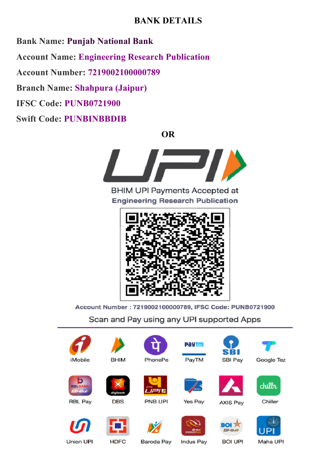#### **BANK DETAILS**

**Bank Name: Punjab National Bank Account Name: Engineering Research Publication Account Number: 7219002100000789 Branch Name: Shahpura (Jaipur) IFSC Code: PUNB0721900**

**Swift Code: PUNBINBBDIB**

**OR**



**BHIM UPI Payments Accepted at Engineering Research Publication** 



Account Number: 7219002100000789, IFSC Code: PUNB0721900

Scan and Pay using any UPI supported Apps